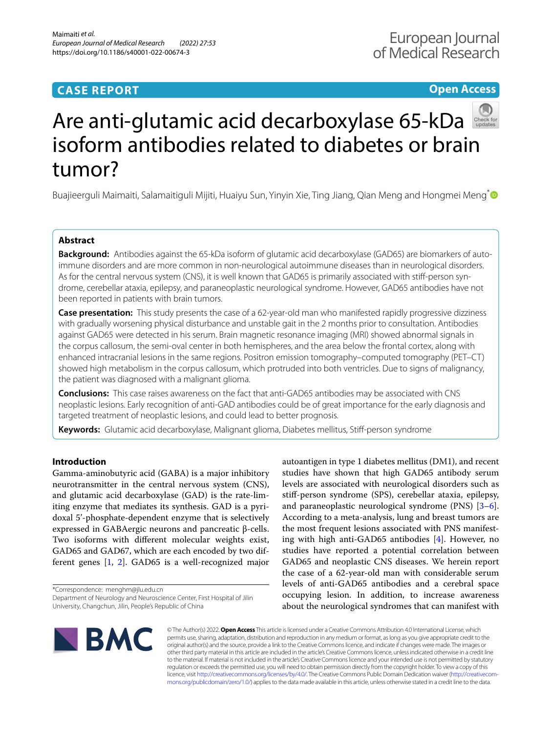# **CASE REPORT**

# **Open Access**



# Are anti-glutamic acid decarboxylase 65-kDa isoform antibodies related to diabetes or brain tumor?

Buajieerguli Maimaiti, Salamaitiguli Mijiti, Huaiyu Sun, Yinyin Xie, Ting Jiang, Qian Meng and Hongmei Meng<sup>[\\*](http://orcid.org/0000-0001-6418-7300)</sup>

## **Abstract**

**Background:** Antibodies against the 65-kDa isoform of glutamic acid decarboxylase (GAD65) are biomarkers of autoimmune disorders and are more common in non-neurological autoimmune diseases than in neurological disorders. As for the central nervous system (CNS), it is well known that GAD65 is primarily associated with stif-person syndrome, cerebellar ataxia, epilepsy, and paraneoplastic neurological syndrome. However, GAD65 antibodies have not been reported in patients with brain tumors.

**Case presentation:** This study presents the case of a 62-year-old man who manifested rapidly progressive dizziness with gradually worsening physical disturbance and unstable gait in the 2 months prior to consultation. Antibodies against GAD65 were detected in his serum. Brain magnetic resonance imaging (MRI) showed abnormal signals in the corpus callosum, the semi-oval center in both hemispheres, and the area below the frontal cortex, along with enhanced intracranial lesions in the same regions. Positron emission tomography–computed tomography (PET–CT) showed high metabolism in the corpus callosum, which protruded into both ventricles. Due to signs of malignancy, the patient was diagnosed with a malignant glioma.

**Conclusions:** This case raises awareness on the fact that anti-GAD65 antibodies may be associated with CNS neoplastic lesions. Early recognition of anti-GAD antibodies could be of great importance for the early diagnosis and targeted treatment of neoplastic lesions, and could lead to better prognosis.

**Keywords:** Glutamic acid decarboxylase, Malignant glioma, Diabetes mellitus, Stif-person syndrome

### **Introduction**

Gamma-aminobutyric acid (GABA) is a major inhibitory neurotransmitter in the central nervous system (CNS), and glutamic acid decarboxylase (GAD) is the rate-limiting enzyme that mediates its synthesis. GAD is a pyridoxal 5'-phosphate-dependent enzyme that is selectively expressed in GABAergic neurons and pancreatic β-cells. Two isoforms with diferent molecular weights exist, GAD65 and GAD67, which are each encoded by two different genes [[1](#page-4-0), [2\]](#page-4-1). GAD65 is a well-recognized major

\*Correspondence: menghm@jlu.edu.cn

autoantigen in type 1 diabetes mellitus (DM1), and recent studies have shown that high GAD65 antibody serum levels are associated with neurological disorders such as stif-person syndrome (SPS), cerebellar ataxia, epilepsy, and paraneoplastic neurological syndrome (PNS) [\[3](#page-4-2)[–6](#page-4-3)]. According to a meta-analysis, lung and breast tumors are the most frequent lesions associated with PNS manifesting with high anti-GAD65 antibodies [[4\]](#page-4-4). However, no studies have reported a potential correlation between GAD65 and neoplastic CNS diseases. We herein report the case of a 62-year-old man with considerable serum levels of anti-GAD65 antibodies and a cerebral space occupying lesion. In addition, to increase awareness about the neurological syndromes that can manifest with



© The Author(s) 2022. **Open Access** This article is licensed under a Creative Commons Attribution 4.0 International License, which permits use, sharing, adaptation, distribution and reproduction in any medium or format, as long as you give appropriate credit to the original author(s) and the source, provide a link to the Creative Commons licence, and indicate if changes were made. The images or other third party material in this article are included in the article's Creative Commons licence, unless indicated otherwise in a credit line to the material. If material is not included in the article's Creative Commons licence and your intended use is not permitted by statutory regulation or exceeds the permitted use, you will need to obtain permission directly from the copyright holder. To view a copy of this licence, visit [http://creativecommons.org/licenses/by/4.0/.](http://creativecommons.org/licenses/by/4.0/) The Creative Commons Public Domain Dedication waiver ([http://creativecom](http://creativecommons.org/publicdomain/zero/1.0/)[mons.org/publicdomain/zero/1.0/\)](http://creativecommons.org/publicdomain/zero/1.0/) applies to the data made available in this article, unless otherwise stated in a credit line to the data.

Department of Neurology and Neuroscience Center, First Hospital of Jilin University, Changchun, Jilin, People's Republic of China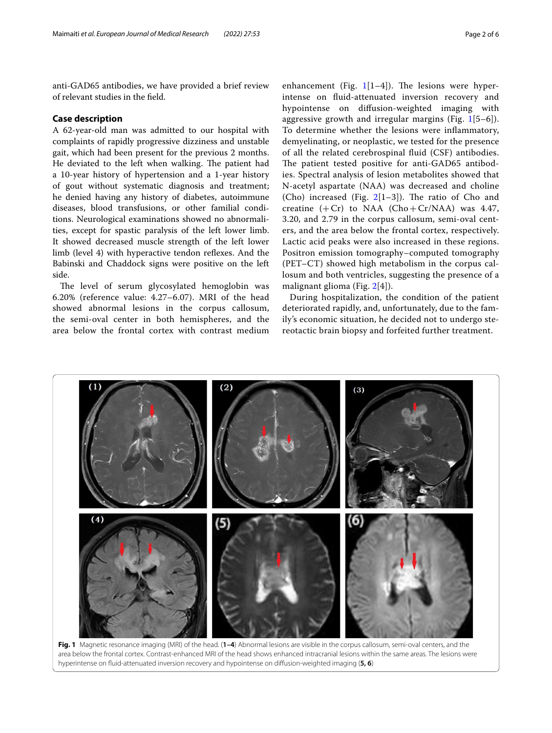anti-GAD65 antibodies, we have provided a brief review of relevant studies in the feld.

#### **Case description**

A 62-year-old man was admitted to our hospital with complaints of rapidly progressive dizziness and unstable gait, which had been present for the previous 2 months. He deviated to the left when walking. The patient had a 10-year history of hypertension and a 1-year history of gout without systematic diagnosis and treatment; he denied having any history of diabetes, autoimmune diseases, blood transfusions, or other familial conditions. Neurological examinations showed no abnormalities, except for spastic paralysis of the left lower limb. It showed decreased muscle strength of the left lower limb (level 4) with hyperactive tendon refexes. And the Babinski and Chaddock signs were positive on the left side.

The level of serum glycosylated hemoglobin was 6.20% (reference value: 4.27–6.07). MRI of the head showed abnormal lesions in the corpus callosum, the semi-oval center in both hemispheres, and the area below the frontal cortex with contrast medium

enhancement (Fig.  $1[1-4]$  $1[1-4]$ ). The lesions were hyperintense on fuid-attenuated inversion recovery and hypointense on difusion-weighted imaging with aggressive growth and irregular margins (Fig.  $1[5-6]$  $1[5-6]$ ). To determine whether the lesions were infammatory, demyelinating, or neoplastic, we tested for the presence of all the related cerebrospinal fuid (CSF) antibodies. The patient tested positive for anti-GAD65 antibodies. Spectral analysis of lesion metabolites showed that N-acetyl aspartate (NAA) was decreased and choline (Cho) increased (Fig.  $2[1-3]$  $2[1-3]$ ). The ratio of Cho and creatine  $(+ Cr)$  to NAA  $(Cho+Cr/NA)$  was 4.47, 3.20, and 2.79 in the corpus callosum, semi-oval centers, and the area below the frontal cortex, respectively. Lactic acid peaks were also increased in these regions. Positron emission tomography–computed tomography (PET–CT) showed high metabolism in the corpus callosum and both ventricles, suggesting the presence of a malignant glioma (Fig. [2\[](#page-2-0)4]).

During hospitalization, the condition of the patient deteriorated rapidly, and, unfortunately, due to the family's economic situation, he decided not to undergo stereotactic brain biopsy and forfeited further treatment.



<span id="page-1-0"></span>**Fig. 1** Magnetic resonance imaging (MRI) of the head. (**1–4**) Abnormal lesions are visible in the corpus callosum, semi-oval centers, and the area below the frontal cortex. Contrast-enhanced MRI of the head shows enhanced intracranial lesions within the same areas. The lesions were hyperintense on fuid-attenuated inversion recovery and hypointense on difusion-weighted imaging (**5, 6**)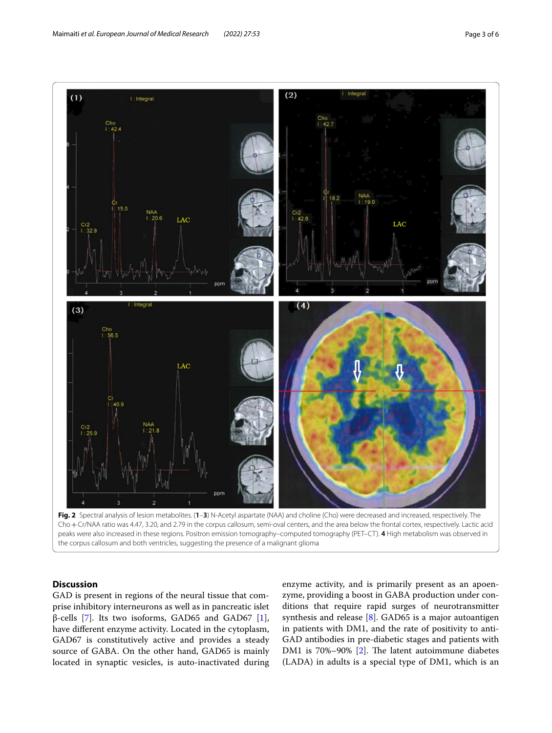

<span id="page-2-0"></span>Cho+Cr/NAA ratio was 4.47, 3.20, and 2.79 in the corpus callosum, semi-oval centers, and the area below the frontal cortex, respectively. Lactic acid peaks were also increased in these regions. Positron emission tomography–computed tomography (PET–CT). **4** High metabolism was observed in the corpus callosum and both ventricles, suggesting the presence of a malignant glioma

### **Discussion**

GAD is present in regions of the neural tissue that comprise inhibitory interneurons as well as in pancreatic islet β-cells [\[7](#page-4-5)]. Its two isoforms, GAD65 and GAD67 [\[1](#page-4-0)], have diferent enzyme activity. Located in the cytoplasm, GAD67 is constitutively active and provides a steady source of GABA. On the other hand, GAD65 is mainly located in synaptic vesicles, is auto-inactivated during

enzyme activity, and is primarily present as an apoenzyme, providing a boost in GABA production under conditions that require rapid surges of neurotransmitter synthesis and release  $[8]$  $[8]$ . GAD65 is a major autoantigen in patients with DM1, and the rate of positivity to anti-GAD antibodies in pre-diabetic stages and patients with DM1 is 70%-90% [\[2](#page-4-1)]. The latent autoimmune diabetes (LADA) in adults is a special type of DM1, which is an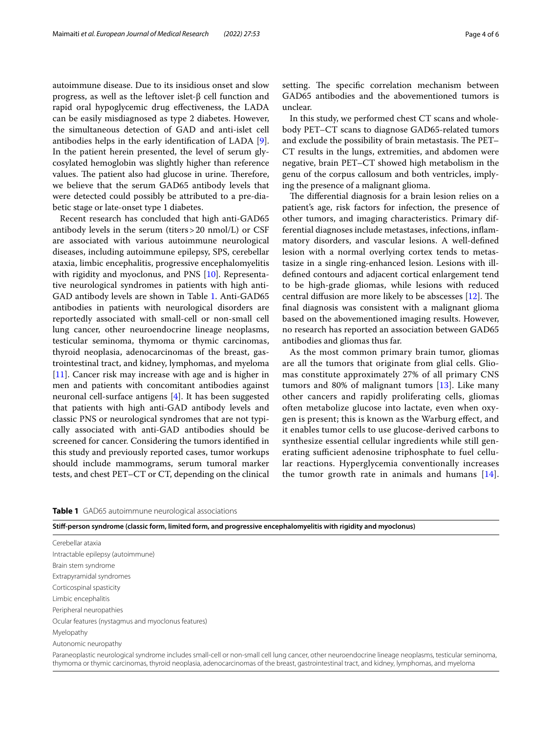autoimmune disease. Due to its insidious onset and slow progress, as well as the leftover islet-β cell function and rapid oral hypoglycemic drug efectiveness, the LADA can be easily misdiagnosed as type 2 diabetes. However, the simultaneous detection of GAD and anti-islet cell antibodies helps in the early identifcation of LADA [\[9](#page-4-7)]. In the patient herein presented, the level of serum glycosylated hemoglobin was slightly higher than reference values. The patient also had glucose in urine. Therefore, we believe that the serum GAD65 antibody levels that were detected could possibly be attributed to a pre-diabetic stage or late-onset type 1 diabetes.

Recent research has concluded that high anti-GAD65 antibody levels in the serum (titers>20 nmol/L) or CSF are associated with various autoimmune neurological diseases, including autoimmune epilepsy, SPS, cerebellar ataxia, limbic encephalitis, progressive encephalomyelitis with rigidity and myoclonus, and PNS [[10\]](#page-4-8). Representative neurological syndromes in patients with high anti-GAD antibody levels are shown in Table [1](#page-3-0). Anti-GAD65 antibodies in patients with neurological disorders are reportedly associated with small-cell or non-small cell lung cancer, other neuroendocrine lineage neoplasms, testicular seminoma, thymoma or thymic carcinomas, thyroid neoplasia, adenocarcinomas of the breast, gastrointestinal tract, and kidney, lymphomas, and myeloma [[11\]](#page-5-0). Cancer risk may increase with age and is higher in men and patients with concomitant antibodies against neuronal cell-surface antigens [\[4](#page-4-4)]. It has been suggested that patients with high anti-GAD antibody levels and classic PNS or neurological syndromes that are not typically associated with anti-GAD antibodies should be screened for cancer. Considering the tumors identifed in this study and previously reported cases, tumor workups should include mammograms, serum tumoral marker tests, and chest PET–CT or CT, depending on the clinical setting. The specific correlation mechanism between GAD65 antibodies and the abovementioned tumors is unclear.

In this study, we performed chest CT scans and wholebody PET–CT scans to diagnose GAD65-related tumors and exclude the possibility of brain metastasis. The PET-CT results in the lungs, extremities, and abdomen were negative, brain PET–CT showed high metabolism in the genu of the corpus callosum and both ventricles, implying the presence of a malignant glioma.

The differential diagnosis for a brain lesion relies on a patient's age, risk factors for infection, the presence of other tumors, and imaging characteristics. Primary differential diagnoses include metastases, infections, infammatory disorders, and vascular lesions. A well-defned lesion with a normal overlying cortex tends to metastasize in a single ring-enhanced lesion. Lesions with illdefned contours and adjacent cortical enlargement tend to be high-grade gliomas, while lesions with reduced central diffusion are more likely to be abscesses  $[12]$  $[12]$ . The fnal diagnosis was consistent with a malignant glioma based on the abovementioned imaging results. However, no research has reported an association between GAD65 antibodies and gliomas thus far.

As the most common primary brain tumor, gliomas are all the tumors that originate from glial cells. Gliomas constitute approximately 27% of all primary CNS tumors and 80% of malignant tumors [\[13](#page-5-2)]. Like many other cancers and rapidly proliferating cells, gliomas often metabolize glucose into lactate, even when oxygen is present; this is known as the Warburg efect, and it enables tumor cells to use glucose-derived carbons to synthesize essential cellular ingredients while still generating sufficient adenosine triphosphate to fuel cellular reactions. Hyperglycemia conventionally increases the tumor growth rate in animals and humans [[14](#page-5-3)].

<span id="page-3-0"></span>

|  | Table 1 GAD65 autoimmune neurological associations |
|--|----------------------------------------------------|
|--|----------------------------------------------------|

| Stiff-person syndrome (classic form, limited form, and progressive encephalomyelitis with rigidity and myoclonus) |  |  |  |  |  |  |  |
|-------------------------------------------------------------------------------------------------------------------|--|--|--|--|--|--|--|
|                                                                                                                   |  |  |  |  |  |  |  |

| Cerebellar ataxia                                                                                                                                                                                                                                                                                  |
|----------------------------------------------------------------------------------------------------------------------------------------------------------------------------------------------------------------------------------------------------------------------------------------------------|
| Intractable epilepsy (autoimmune)                                                                                                                                                                                                                                                                  |
| Brain stem syndrome                                                                                                                                                                                                                                                                                |
| Extrapyramidal syndromes                                                                                                                                                                                                                                                                           |
| Corticospinal spasticity                                                                                                                                                                                                                                                                           |
| Limbic encephalitis                                                                                                                                                                                                                                                                                |
| Peripheral neuropathies                                                                                                                                                                                                                                                                            |
| Ocular features (nystagmus and myoclonus features)                                                                                                                                                                                                                                                 |
| Myelopathy                                                                                                                                                                                                                                                                                         |
| Autonomic neuropathy                                                                                                                                                                                                                                                                               |
| Paraneoplastic neurological syndrome includes small-cell or non-small cell lung cancer, other neuroendocrine lineage neoplasms, testicular seminoma,<br>thymoma or thymic carcinomas, thyroid neoplasia, adenocarcinomas of the breast, gastrointestinal tract, and kidney, lymphomas, and myeloma |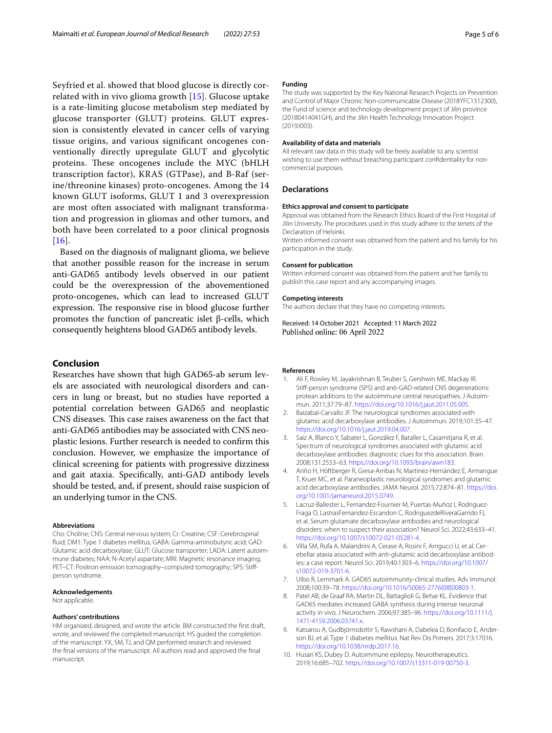Seyfried et al. showed that blood glucose is directly correlated with in vivo glioma growth [\[15\]](#page-5-4). Glucose uptake is a rate-limiting glucose metabolism step mediated by glucose transporter (GLUT) proteins. GLUT expression is consistently elevated in cancer cells of varying tissue origins, and various signifcant oncogenes conventionally directly upregulate GLUT and glycolytic proteins. These oncogenes include the MYC (bHLH) transcription factor), KRAS (GTPase), and B-Raf (serine/threonine kinases) proto-oncogenes. Among the 14 known GLUT isoforms, GLUT 1 and 3 overexpression are most often associated with malignant transformation and progression in gliomas and other tumors, and both have been correlated to a poor clinical prognosis  $[16]$  $[16]$  $[16]$ .

Based on the diagnosis of malignant glioma, we believe that another possible reason for the increase in serum anti-GAD65 antibody levels observed in our patient could be the overexpression of the abovementioned proto-oncogenes, which can lead to increased GLUT expression. The responsive rise in blood glucose further promotes the function of pancreatic islet β-cells, which consequently heightens blood GAD65 antibody levels.

#### **Conclusion**

Researches have shown that high GAD65-ab serum levels are associated with neurological disorders and cancers in lung or breast, but no studies have reported a potential correlation between GAD65 and neoplastic CNS diseases. This case raises awareness on the fact that anti-GAD65 antibodies may be associated with CNS neoplastic lesions. Further research is needed to confrm this conclusion. However, we emphasize the importance of clinical screening for patients with progressive dizziness and gait ataxia. Specifcally, anti-GAD antibody levels should be tested, and, if present, should raise suspicion of an underlying tumor in the CNS.

#### **Abbreviations**

Cho: Choline; CNS: Central nervous system; Cr: Creatine; CSF: Cerebrospinal fuid; DM1: Type 1 diabetes mellitus; GABA: Gamma-aminobutyric acid; GAD: Glutamic acid decarboxylase; GLUT: Glucose transporter; LADA: Latent autoimmune diabetes; NAA: N-Acetyl aspartate; MRI: Magnetic resonance imaging; PET–CT: Positron emission tomography–computed tomography; SPS: Stifperson syndrome.

#### **Acknowledgements**

Not applicable.

#### **Authors' contributions**

HM organized, designed, and wrote the article. BM constructed the frst draft, wrote, and reviewed the completed manuscript. HS guided the completion of the manuscript. YX, SM, TJ, and QM performed research and reviewed the fnal versions of the manuscript. All authors read and approved the fnal manuscript.

#### **Funding**

The study was supported by the Key National Research Projects on Prevention and Control of Major Chronic Non-communicable Disease (2018YFC1312300), the Fund of science and technology development project of Jilin province (20180414041GH), and the Jilin Health Technology Innovation Project (2019J003).

#### **Availability of data and materials**

All relevant raw data in this study will be freely available to any scientist wishing to use them without breaching participant confdentiality for noncommercial purposes.

#### **Declarations**

#### **Ethics approval and consent to participate**

Approval was obtained from the Research Ethics Board of the First Hospital of Jilin University. The procedures used in this study adhere to the tenets of the Declaration of Helsinki.

Written informed consent was obtained from the patient and his family for his participation in the study.

#### **Consent for publication**

Written informed consent was obtained from the patient and her family to publish this case report and any accompanying images.

#### **Competing interests**

The authors declare that they have no competing interests.

Received: 14 October 2021 Accepted: 11 March 2022 Published online: 06 April 2022

#### **References**

- <span id="page-4-0"></span>1. Ali F, Rowley M, Jayakrishnan B, Teuber S, Gershwin ME, Mackay IR. Stif-person syndrome (SPS) and anti-GAD-related CNS degenerations: protean additions to the autoimmune central neuropathies. J Autoimmun. 2011;37:79–87. [https://doi.org/10.1016/j.jaut.2011.05.005.](https://doi.org/10.1016/j.jaut.2011.05.005)
- <span id="page-4-1"></span>2. Baizabal-Carvallo JF. The neurological syndromes associated with glutamic acid decarboxylase antibodies. J Autoimmun. 2019;101:35–47. [https://doi.org/10.1016/j.jaut.2019.04.007.](https://doi.org/10.1016/j.jaut.2019.04.007)
- <span id="page-4-2"></span>3. Saiz A, Blanco Y, Sabater L, González F, Bataller L, Casamitjana R, et al. Spectrum of neurological syndromes associated with glutamic acid decarboxylase antibodies: diagnostic clues for this association. Brain. 2008;131:2553–63. <https://doi.org/10.1093/brain/awn183>.
- <span id="page-4-4"></span>4. Ariño H, Höftberger R, Gresa-Arribas N, Martínez-Hernández E, Armangue T, Kruer MC, et al. Paraneoplastic neurological syndromes and glutamic acid decarboxylase antibodies. JAMA Neurol. 2015;72:874–81. [https://doi.](https://doi.org/10.1001/jamaneurol.2015.0749) [org/10.1001/jamaneurol.2015.0749](https://doi.org/10.1001/jamaneurol.2015.0749).
- 5. Lacruz-Ballester L, Fernandez-Fournier M, Puertas-Muñoz I, Rodriguez-Fraga O, LastrasFernandez-Escandon C, RodriguezdeRiveraGarrido FJ, et al. Serum glutamate decarboxylase antibodies and neurological disorders: when to suspect their association? Neurol Sci. 2022;43:633–41. <https://doi.org/10.1007/s10072-021-05281-4>.
- <span id="page-4-3"></span>6. Villa SM, Rufa A, Malandrini A, Cerase A, Rosini F, Arrigucci U, et al. Cerebellar ataxia associated with anti-glutamic acid decarboxylase antibodies: a case report. Neurol Sci. 2019;40:1303–6. [https://doi.org/10.1007/](https://doi.org/10.1007/s10072-019-3701-6) [s10072-019-3701-6.](https://doi.org/10.1007/s10072-019-3701-6)
- <span id="page-4-5"></span>7. Uibo R, Lernmark A. GAD65 autoimmunity-clinical studies. Adv Immunol. 2008;100:39–78. [https://doi.org/10.1016/S0065-2776\(08\)00803-1.](https://doi.org/10.1016/S0065-2776(08)00803-1)
- <span id="page-4-6"></span>8. Patel AB, de Graaf RA, Martin DL, Battaglioli G, Behar KL. Evidence that GAD65 mediates increased GABA synthesis during intense neuronal activity in vivo. J Neurochem. 2006;97:385–96. [https://doi.org/10.1111/j.](https://doi.org/10.1111/j.1471-4159.2006.03741.x) [1471-4159.2006.03741.x](https://doi.org/10.1111/j.1471-4159.2006.03741.x).
- <span id="page-4-7"></span>9. Katsarou A, Gudbjörnsdottir S, Rawshani A, Dabelea D, Bonifacio E, Anderson BJ, et al. Type 1 diabetes mellitus. Nat Rev Dis Primers. 2017;3:17016. <https://doi.org/10.1038/nrdp.2017.16>.
- <span id="page-4-8"></span>10. Husari KS, Dubey D. Autoimmune epilepsy. Neurotherapeutics. 2019;16:685–702. [https://doi.org/10.1007/s13311-019-00750-3.](https://doi.org/10.1007/s13311-019-00750-3)